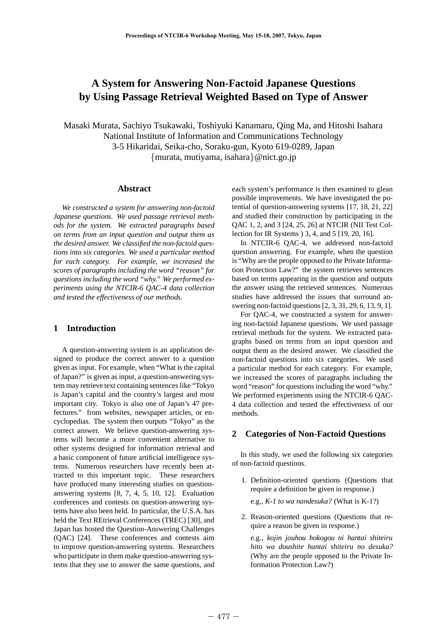# **A System for Answering Non-Factoid Japanese Questions by Using Passage Retrieval Weighted Based on Type of Answer**

Masaki Murata, Sachiyo Tsukawaki, Toshiyuki Kanamaru, Qing Ma, and Hitoshi Isahara National Institute of Information and Communications Technology 3-5 Hikaridai, Seika-cho, Soraku-gun, Kyoto 619-0289, Japan {murata, mutiyama, isahara}@nict.go.jp

#### **Abstract**

*We constructed a system for answering non-factoid Japanese questions. We used passage retrieval methods for the system. We extracted paragraphs based on terms from an input question and output them as the desired answer. We classified the non-factoid questions into six categories. We used a particular method for each category. For example, we increased the scores of paragraphs including the word "reason" for questions including the word "why." We performed experiments using the NTCIR-6 QAC-4 data collection and tested the effectiveness of our methods.*

## **1 Introduction**

A question-answering system is an application designed to produce the correct answer to a question given as input. For example, when "What is the capital of Japan?" is given as input, a question-answering system may retrieve text containing sentences like "Tokyo is Japan's capital and the country's largest and most important city. Tokyo is also one of Japan's 47 prefectures." from websites, newspaper articles, or encyclopedias. The system then outputs "Tokyo" as the correct answer. We believe question-answering systems will become a more convenient alternative to other systems designed for information retrieval and a basic component of future artificial intelligence systems. Numerous researchers have recently been attracted to this important topic. These researchers have produced many interesting studies on questionanswering systems [8, 7, 4, 5, 10, 12]. Evaluation conferences and contests on question-answering systems have also been held. In particular, the U.S.A. has held the Text REtrieval Conferences (TREC) [30], and Japan has hosted the Question-Answering Challenges (QAC) [24]. These conferences and contests aim to improve question-answering systems. Researchers who participate in them make question-answering systems that they use to answer the same questions, and each system's performance is then examined to glean possible improvements. We have investigated the potential of question-answering systems [17, 18, 21, 22] and studied their construction by participating in the QAC 1, 2, and 3 [24, 25, 26] at NTCIR (NII Test Collection for IR Systems ) 3, 4, and 5 [19, 20, 16].

In NTCIR-6 QAC-4, we addressed non-factoid question answering. For example, when the question is "Why are the people opposed to the Private Information Protection Law?" the system retrieves sentences based on terms appearing in the question and outputs the answer using the retrieved sentences. Numerous studies have addressed the issues that surround answering non-factoid questions [2, 3, 31, 29, 6, 13, 9, 1].

For QAC-4, we constructed a system for answering non-factoid Japanese questions. We used passage retrieval methods for the system. We extracted paragraphs based on terms from an input question and output them as the desired answer. We classified the non-factoid questions into six categories. We used a particular method for each category. For example, we increased the scores of paragraphs including the word "reason" for questions including the word "why." We performed experiments using the NTCIR-6 QAC-4 data collection and tested the effectiveness of our methods.

## **2 Categories of Non-Factoid Questions**

In this study, we used the following six categories of non-factoid questions.

- 1. Definition-oriented questions (Questions that require a definition be given in response.)
	- e.g., *K-1 to wa nandesuka?* (What is K-1?)
- 2. Reason-oriented questions (Questions that require a reason be given in response.)

e.g., *kojin jouhou hokogou ni hantai shiteiru hito wa doushite hantai shiteiru no desuka?* (Why are the people opposed to the Private Information Protection Law?)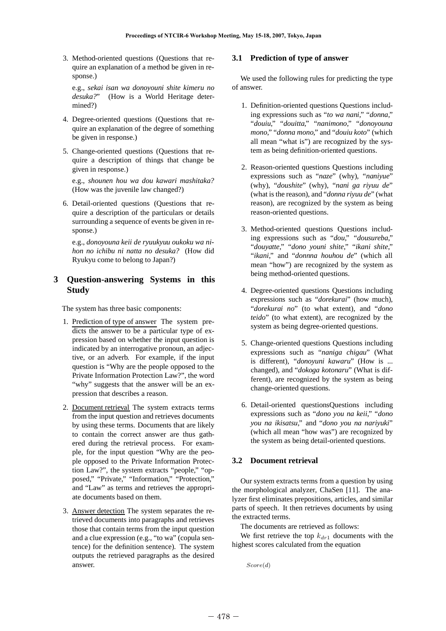3. Method-oriented questions (Questions that require an explanation of a method be given in response.)

e.g., *sekai isan wa donoyouni shite kimeru no desuka?*" (How is a World Heritage determined?)

- 4. Degree-oriented questions (Questions that require an explanation of the degree of something be given in response.)
- 5. Change-oriented questions (Questions that require a description of things that change be given in response.)

e.g., *shounen hou wa dou kawari mashitaka?* (How was the juvenile law changed?)

6. Detail-oriented questions (Questions that require a description of the particulars or details surrounding a sequence of events be given in response.)

e.g., *donoyouna keii de ryuukyuu oukoku wa nihon no ichibu ni natta no desuka?* (How did Ryukyu come to belong to Japan?)

## **3 Question-answering Systems in this Study**

The system has three basic components:

- 1. Prediction of type of answer The system predicts the answer to be a particular type of expression based on whether the input question is indicated by an interrogative pronoun, an adjective, or an adverb. For example, if the input question is "Why are the people opposed to the Private Information Protection Law?", the word "why" suggests that the answer will be an expression that describes a reason.
- 2. Document retrieval The system extracts terms from the input question and retrieves documents by using these terms. Documents that are likely to contain the correct answer are thus gathered during the retrieval process. For example, for the input question "Why are the people opposed to the Private Information Protection Law?", the system extracts "people," "opposed," "Private," "Information," "Protection," and "Law" as terms and retrieves the appropriate documents based on them.
- 3. Answer detection The system separates the retrieved documents into paragraphs and retrieves those that contain terms from the input question and a clue expression (e.g., "to wa" (copula sentence) for the definition sentence). The system outputs the retrieved paragraphs as the desired answer.

## **3.1 Prediction of type of answer**

We used the following rules for predicting the type of answer.

- 1. Definition-oriented questions Questions including expressions such as "*to wa nani*," "*donna*," "*douiu*," "*douitta*," "*nanimono*," "*donoyouna mono*," "*donna mono*," and "*douiu koto*" (which all mean "what is") are recognized by the system as being definition-oriented questions.
- 2. Reason-oriented questions Questions including expressions such as "*naze*" (why), "*naniyue*" (why), "*doushite*" (why), "*nani ga riyuu de*" (what is the reason), and "*donna riyuu de*" (what reason), are recognized by the system as being reason-oriented questions.
- 3. Method-oriented questions Questions including expressions such as "*dou*," "*dousureba*," "*douyatte*," "*dono youni shite*," "*ikani shite*," "*ikani*," and "*donnna houhou de*" (which all mean "how") are recognized by the system as being method-oriented questions.
- 4. Degree-oriented questions Questions including expressions such as "*dorekurai*" (how much), "*dorekurai no*" (to what extent), and "*dono teido*" (to what extent), are recognized by the system as being degree-oriented questions.
- 5. Change-oriented questions Questions including expressions such as "*naniga chigau*" (What is different), "*donoyuni kawaru*" (How is ... changed), and "*dokoga kotonaru*" (What is different), are recognized by the system as being change-oriented questions.
- 6. Detail-oriented questionsQuestions including expressions such as "*dono you na keii*," "*dono you na ikisatsu*," and "*dono you na nariyuki*" (which all mean "how was") are recognized by the system as being detail-oriented questions.

## **3.2 Document retrieval**

Our system extracts terms from a question by using the morphological analyzer, ChaSen [11]. The analyzer first eliminates prepositions, articles, and similar parts of speech. It then retrieves documents by using the extracted terms.

The documents are retrieved as follows:

We first retrieve the top  $k_{dr1}$  documents with the highest scores calculated from the equation

*Score*(*d*)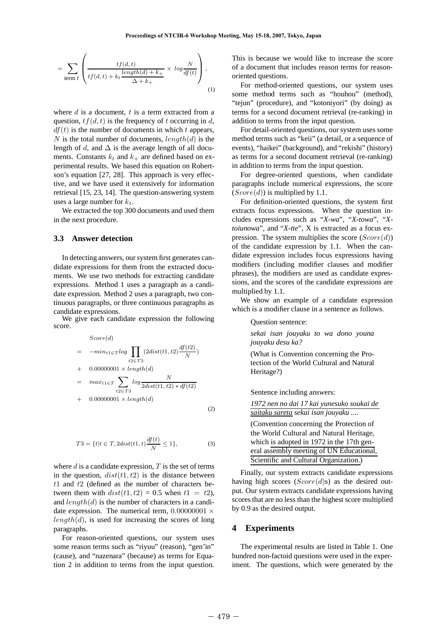$$
= \sum_{\text{term } t} \left( \frac{tf(d,t)}{tf(d,t) + k_t \frac{length(d) + k_+}{\Delta + k_+}} \times \log \frac{N}{df(t)} \right),\tag{1}
$$

where  $d$  is a document,  $t$  is a term extracted from a question,  $tf(d, t)$  is the frequency of t occurring in d,  $df(t)$  is the number of documents in which t appears, N is the total number of documents,  $length(d)$  is the length of d, and  $\Delta$  is the average length of all documents. Constants  $k_t$  and  $k_+$  are defined based on experimental results. We based this equation on Robertson's equation [27, 28]. This approach is very effective, and we have used it extensively for information retrieval [15, 23, 14]. The question-answering system uses a large number for  $k_t$ .

We extracted the top 300 documents and used them in the next procedure.

#### **3.3 Answer detection**

In detecting answers, our system first generates candidate expressions for them from the extracted documents. We use two methods for extracting candidate expressions. Method 1 uses a paragraph as a candidate expression. Method 2 uses a paragraph, two continuous paragraphs, or three continuous paragraphs as candidate expressions.

We give each candidate expression the following score.

$$
Score(d)
$$
  
=  $-min_{t1 \in T} log \prod_{t2 \in T3} (2dist(t1, t2) \frac{df(t2)}{N})$   
+  $0.00000001 \times length(d)$   
=  $max_{t1 \in T} \sum_{t2 \in T3} log \frac{N}{2dist(t1, t2) * df(t2)}$   
+  $0.00000001 \times length(d)$  (2)

$$
T3 = \{t | t \in T, 2dist(t1, t)\frac{df(t)}{N} \le 1\},\tag{3}
$$

where  $d$  is a candidate expression,  $T$  is the set of terms in the question,  $dist(t1, t2)$  is the distance between  $t1$  and  $t2$  (defined as the number of characters between them with  $dist(t1, t2) = 0.5$  when  $t1 = t2$ ), and  $length(d)$  is the number of characters in a candidate expression. The numerical term,  $0.00000001 \times$  $length(d)$ , is used for increasing the scores of long paragraphs.

For reason-oriented questions, our system uses some reason terms such as "riyuu" (reason), "gen'in" (cause), and "nazenara" (because) as terms for Equation 2 in addition to terms from the input question.

This is because we would like to increase the score of a document that includes reason terms for reasonoriented questions.

For method-oriented questions, our system uses some method terms such as "houhou" (method), "tejun" (procedure), and "kotoniyori" (by doing) as terms for a second document retrieval (re-ranking) in addition to terms from the input question.

For detail-oriented questions, our system uses some method terms such as "keii" (a detail, or a sequence of events), "haikei" (background), and "rekishi" (history) as terms for a second document retrieval (re-ranking) in addition to terms from the input question.

For degree-oriented questions, when candidate paragraphs include numerical expressions, the score  $(Score(d))$  is multiplied by 1.1.

For definition-oriented questions, the system first extracts focus expressions. When the question includes expressions such as "*X-wa*", "*X-towa*", "*Xtoiunowa*", and "*X-tte*", X is extracted as a focus expression. The system multiplies the score  $(Score(d))$ of the candidate expression by 1.1. When the candidate expression includes focus expressions having modifiers (including modifier clauses and modifier phrases), the modifiers are used as candidate expressions, and the scores of the candidate expressions are multiplied by 1.1.

We show an example of a candidate expression which is a modifier clause in a sentence as follows.

Question sentence:

*sekai isan jouyaku to wa dono youna jouyaku desu ka?*

(What is Convention concerning the Protection of the World Cultural and Natural Heritage?)

Sentence including answers:

*1972 nen no dai 17 kai yunesuko soukai de saitaku sareta sekai isan jouyaku ....*

(Convention concerning the Protection of the World Cultural and Natural Heritage, which is adopted in 1972 in the 17th general assembly meeting of UN Educational, Scientific and Cultural Organization.)

Finally, our system extracts candidate expressions having high scores  $(Score(d)s)$  as the desired output. Our system extracts candidate expressions having scores that are no less than the highest score multiplied by 0.9 as the desired output.

#### **4 Experiments**

The experimental results are listed in Table 1. One hundred non-factoid questions were used in the experiment. The questions, which were generated by the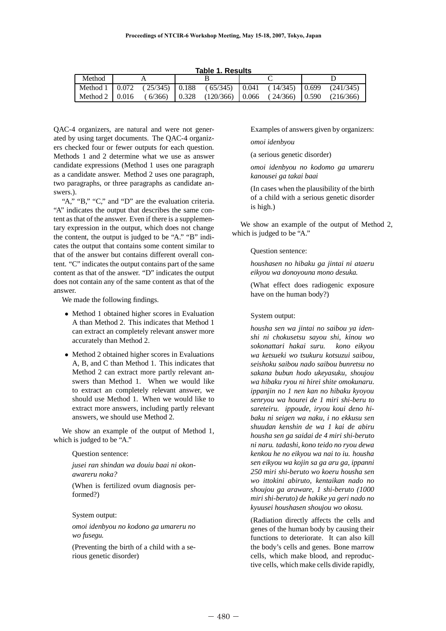|  |  | Table 1. Results |
|--|--|------------------|
|  |  |                  |

| Method |  |  |  |                                                                               |  |  |  |  |  |  |  |
|--------|--|--|--|-------------------------------------------------------------------------------|--|--|--|--|--|--|--|
|        |  |  |  | Method 1   0.072 (25/345)   0.188 (65/345)   0.041 (14/345)   0.699 (241/345) |  |  |  |  |  |  |  |
|        |  |  |  | Method 2   0.016 (6/366)   0.328 (120/366)   0.066 (24/366)   0.590 (216/366) |  |  |  |  |  |  |  |

QAC-4 organizers, are natural and were not generated by using target documents. The QAC-4 organizers checked four or fewer outputs for each question. Methods 1 and 2 determine what we use as answer candidate expressions (Method 1 uses one paragraph as a candidate answer. Method 2 uses one paragraph, two paragraphs, or three paragraphs as candidate answers.).

"A," "B," "C," and "D" are the evaluation criteria. "A" indicates the output that describes the same content as that of the answer. Even if there is a supplementary expression in the output, which does not change the content, the output is judged to be "A." "B" indicates the output that contains some content similar to that of the answer but contains different overall content. "C" indicates the output contains part of the same content as that of the answer. "D" indicates the output does not contain any of the same content as that of the answer.

We made the following findings.

- Method 1 obtained higher scores in Evaluation A than Method 2. This indicates that Method 1 can extract an completely relevant answer more accurately than Method 2.
- Method 2 obtained higher scores in Evaluations A, B, and C than Method 1. This indicates that Method 2 can extract more partly relevant answers than Method 1. When we would like to extract an completely relevant answer, we should use Method 1. When we would like to extract more answers, including partly relevant answers, we should use Method 2.

We show an example of the output of Method 1, which is judged to be "A."

#### Question sentence:

*jusei ran shindan wa douiu baai ni okonawareru noka?*

(When is fertilized ovum diagnosis performed?)

#### System output:

*omoi idenbyou no kodono ga umareru no wo fusegu.*

(Preventing the birth of a child with a serious genetic disorder)

Examples of answers given by organizers: *omoi idenbyou*

(a serious genetic disorder)

*omoi idenbyou no kodomo ga umareru kanousei ga takai baai*

(In cases when the plausibility of the birth of a child with a serious genetic disorder is high.)

We show an example of the output of Method 2, which is judged to be "A."

Question sentence:

*houshasen no hibaku ga jintai ni ataeru eikyou wa donoyouna mono desuka.*

(What effect does radiogenic exposure have on the human body?)

#### System output:

*housha sen wa jintai no saibou ya idenshi ni chokusetsu sayou shi, kinou wo sokonattari hakai suru. kono eikyou wa ketsueki wo tsukuru kotsuzui saibou, seishoku saibou nado saibou bunretsu no sakana bubun hodo ukeyasuku, shoujou wa hibaku ryou ni hirei shite omokunaru. ippanjin no 1 nen kan no hibaku kyoyou senryou wa hourei de 1 miri shi-beru to sareteiru. ippoude, iryou koui deno hibaku ni seigen wa naku, i no ekkusu sen shuudan kenshin de wa 1 kai de abiru housha sen ga saidai de 4 miri shi-beruto ni naru. tadashi, kono teido no ryou dewa kenkou he no eikyou wa nai to iu. housha sen eikyou wa kojin sa ga aru ga, ippanni 250 miri shi-beruto wo koeru housha sen wo ittokini abiruto, kentaikan nado no shoujou ga araware, 1 shi-beruto (1000 miri shi-beruto) de hakike ya geri nado no kyuusei houshasen shoujou wo okosu.*

(Radiation directly affects the cells and genes of the human body by causing their functions to deteriorate. It can also kill the body's cells and genes. Bone marrow cells, which make blood, and reproductive cells, which make cells divide rapidly,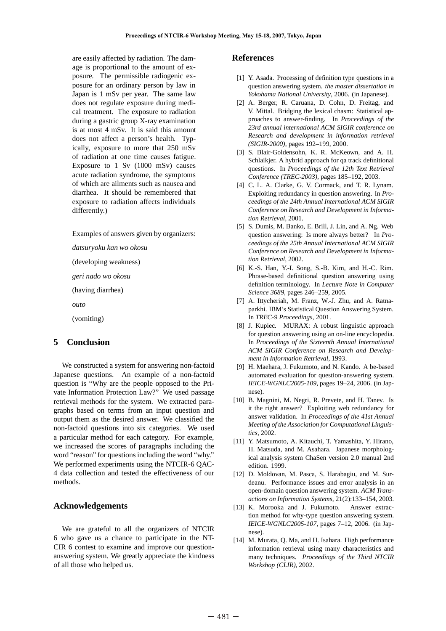are easily affected by radiation. The damage is proportional to the amount of exposure. The permissible radiogenic exposure for an ordinary person by law in Japan is 1 mSv per year. The same law does not regulate exposure during medical treatment. The exposure to radiation during a gastric group X-ray examination is at most 4 mSv. It is said this amount does not affect a person's health. Typically, exposure to more that 250 mSv of radiation at one time causes fatigue. Exposure to 1 Sv (1000 mSv) causes acute radiation syndrome, the symptoms of which are ailments such as nausea and diarrhea. It should be remembered that exposure to radiation affects individuals differently.)

Examples of answers given by organizers:

*datsuryoku kan wo okosu*

(developing weakness)

*geri nado wo okosu*

(having diarrhea)

*outo*

(vomiting)

## **5 Conclusion**

We constructed a system for answering non-factoid Japanese questions. An example of a non-factoid question is "Why are the people opposed to the Private Information Protection Law?" We used passage retrieval methods for the system. We extracted paragraphs based on terms from an input question and output them as the desired answer. We classified the non-factoid questions into six categories. We used a particular method for each category. For example, we increased the scores of paragraphs including the word "reason" for questions including the word "why." We performed experiments using the NTCIR-6 OAC-4 data collection and tested the effectiveness of our methods.

## **Acknowledgements**

We are grateful to all the organizers of NTCIR 6 who gave us a chance to participate in the NT-CIR 6 contest to examine and improve our questionanswering system. We greatly appreciate the kindness of all those who helped us.

## **References**

- [1] Y. Asada. Processing of definition type questions in a question answering system. *the master dissertation in Yokohama National University*, 2006. (in Japanese).
- [2] A. Berger, R. Caruana, D. Cohn, D. Freitag, and V. Mittal. Bridging the lexical chasm: Statistical approaches to answer-finding. In *Proceedings of the 23rd annual international ACM SIGIR conference on Research and development in information retrieval (SIGIR-2000)*, pages 192–199, 2000.
- [3] S. Blair-Goldensohn, K. R. McKeown, and A. H. Schlaikjer. A hybrid approach for qa track definitional questions. In *Proceedings of the 12th Text Retrieval Conference (TREC-2003)*, pages 185–192, 2003.
- [4] C. L. A. Clarke, G. V. Cormack, and T. R. Lynam. Exploiting redundancy in question answering. In *Proceedings of the 24th Annual International ACM SIGIR Conference on Research and Development in Information Retrieval*, 2001.
- [5] S. Dumis, M. Banko, E. Brill, J. Lin, and A. Ng. Web question answering: Is more always better? In *Proceedings of the 25th Annual International ACM SIGIR Conference on Research and Development in Information Retrieval*, 2002.
- [6] K.-S. Han, Y.-I. Song, S.-B. Kim, and H.-C. Rim. Phrase-based definitional question answering using definition terminology. In *Lecture Note in Computer Science 3689*, pages 246–259, 2005.
- [7] A. Ittycheriah, M. Franz, W.-J. Zhu, and A. Ratnaparkhi. IBM's Statistical Question Answering System. In *TREC-9 Proceedings*, 2001.
- [8] J. Kupiec. MURAX: A robust linguistic approach for question answering using an on-line encyclopedia. In *Proceedings of the Sixteenth Annual International ACM SIGIR Conference on Research and Development in Information Retrieval*, 1993.
- [9] H. Maehara, J. Fukumoto, and N. Kando. A be-based automated evaluation for question-answering system. *IEICE-WGNLC2005-109*, pages 19–24, 2006. (in Japnese).
- [10] B. Magnini, M. Negri, R. Prevete, and H. Tanev. Is it the right answer? Exploiting web redundancy for answer validation. In *Proceedings of the 41st Annual Meeting of the Association for Computational Linguistics*, 2002.
- [11] Y. Matsumoto, A. Kitauchi, T. Yamashita, Y. Hirano, H. Matsuda, and M. Asahara. Japanese morphological analysis system ChaSen version 2.0 manual 2nd edition. 1999.
- [12] D. Moldovan, M. Pasca, S. Harabagiu, and M. Surdeanu. Performance issues and error analysis in an open-domain question answering system. *ACM Transactions on Information Systems*, 21(2):133–154, 2003.
- [13] K. Morooka and J. Fukumoto. Answer extraction method for why-type question answering system. *IEICE-WGNLC2005-107*, pages 7–12, 2006. (in Japnese).
- [14] M. Murata, O. Ma, and H. Isahara. High performance information retrieval using many characteristics and many techniques. *Proceedings of the Third NTCIR Workshop (CLIR)*, 2002.